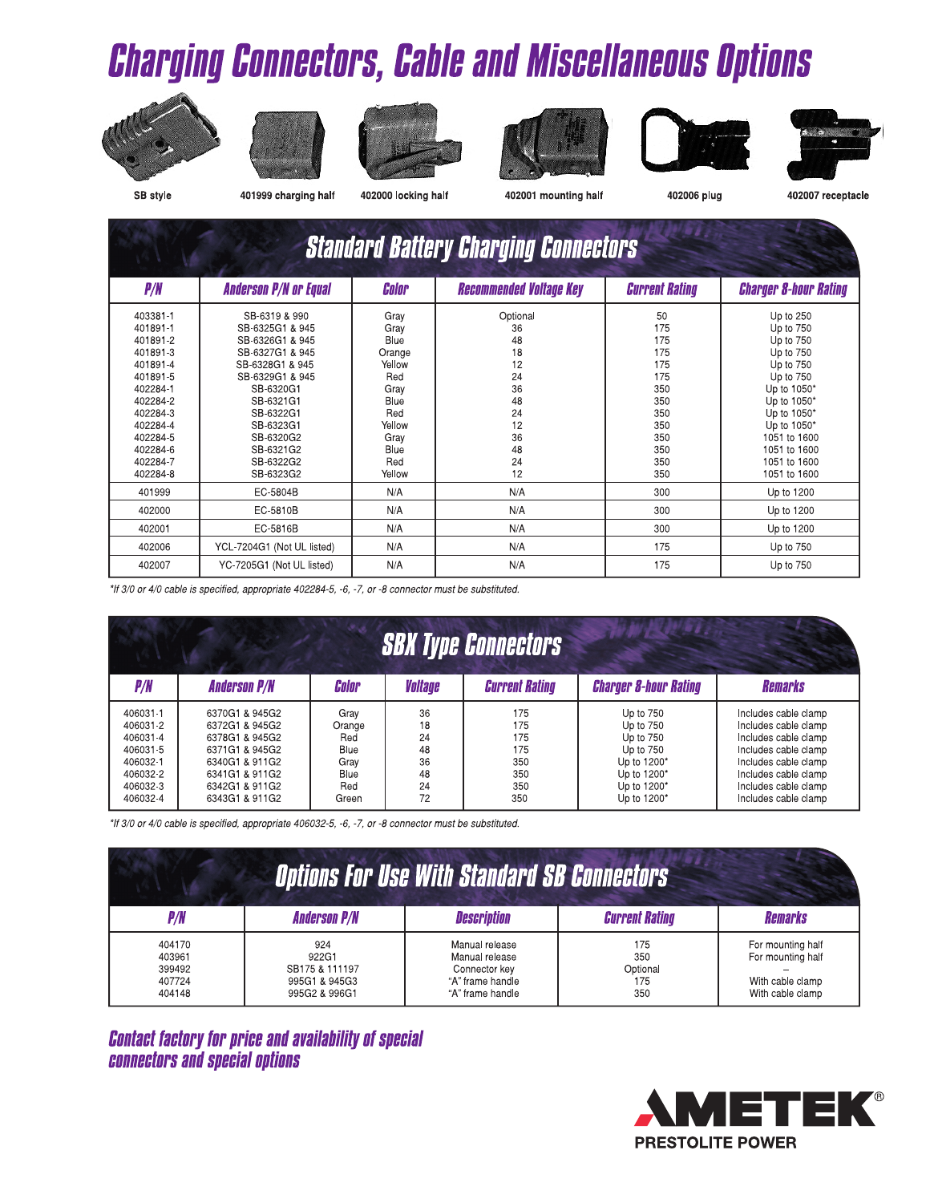# **Charging Connectors, Cable and Miscellaneous Options**











402006 plug



SB style

401999 charging half

402000 locking half

402001 mounting half

 $\Delta$ 

| I02007 receptacle |  |  |
|-------------------|--|--|
|                   |  |  |

| <b>Standard Battery Charging Connectors</b>                                                                                                                          |                                                                                                                                                                                                                      |                                                                                                                   |                                                                                        |                                                                                               |                                                                                                                                                                                                        |
|----------------------------------------------------------------------------------------------------------------------------------------------------------------------|----------------------------------------------------------------------------------------------------------------------------------------------------------------------------------------------------------------------|-------------------------------------------------------------------------------------------------------------------|----------------------------------------------------------------------------------------|-----------------------------------------------------------------------------------------------|--------------------------------------------------------------------------------------------------------------------------------------------------------------------------------------------------------|
| P/N                                                                                                                                                                  | <b>Anderson P/N or Equal</b>                                                                                                                                                                                         | Color                                                                                                             | <b>Recommended Voltage Key</b>                                                         | <b>Current Rating</b>                                                                         | <b>Charger 8-hour Rating</b>                                                                                                                                                                           |
| 403381-1<br>401891-1<br>401891-2<br>401891-3<br>401891-4<br>401891-5<br>402284-1<br>402284-2<br>402284-3<br>402284-4<br>402284-5<br>402284-6<br>402284-7<br>402284-8 | SB-6319 & 990<br>SB-6325G1 & 945<br>SB-6326G1 & 945<br>SB-6327G1 & 945<br>SB-6328G1 & 945<br>SB-6329G1 & 945<br>SB-6320G1<br>SB-6321G1<br>SB-6322G1<br>SB-6323G1<br>SB-6320G2<br>SB-6321G2<br>SB-6322G2<br>SB-6323G2 | Gray<br>Gray<br>Blue<br>Orange<br>Yellow<br>Red<br>Gray<br>Blue<br>Red<br>Yellow<br>Grav<br>Blue<br>Red<br>Yellow | Optional<br>36<br>48<br>18<br>12<br>24<br>36<br>48<br>24<br>12<br>36<br>48<br>24<br>12 | 50<br>175<br>175<br>175<br>175<br>175<br>350<br>350<br>350<br>350<br>350<br>350<br>350<br>350 | Up to 250<br>Up to 750<br>Up to 750<br>Up to 750<br>Up to 750<br>Up to 750<br>Up to 1050*<br>Up to 1050*<br>Up to 1050*<br>Up to 1050*<br>1051 to 1600<br>1051 to 1600<br>1051 to 1600<br>1051 to 1600 |
| 401999                                                                                                                                                               | EC-5804B                                                                                                                                                                                                             | N/A                                                                                                               | N/A                                                                                    | 300                                                                                           | Up to 1200                                                                                                                                                                                             |
| 402000                                                                                                                                                               | EC-5810B                                                                                                                                                                                                             | N/A                                                                                                               | N/A                                                                                    | 300                                                                                           | Up to 1200                                                                                                                                                                                             |
| 402001                                                                                                                                                               | EC-5816B                                                                                                                                                                                                             | N/A                                                                                                               | N/A                                                                                    | 300                                                                                           | Up to 1200                                                                                                                                                                                             |
| 402006                                                                                                                                                               | YCL-7204G1 (Not UL listed)                                                                                                                                                                                           | N/A                                                                                                               | N/A                                                                                    | 175                                                                                           | Up to 750                                                                                                                                                                                              |
| 402007                                                                                                                                                               | YC-7205G1 (Not UL listed)                                                                                                                                                                                            | N/A                                                                                                               | N/A                                                                                    | 175                                                                                           | Up to 750                                                                                                                                                                                              |

\*If 3/0 or 4/0 cable is specified, appropriate 402284-5, -6, -7, or -8 connector must be substituted.

|                                                                                              |                                                                                                                                              |                                                               |                                              | <b>SBX Type Connectors</b>                           |                                                                                                              |                                                                                                                                                                                              |
|----------------------------------------------------------------------------------------------|----------------------------------------------------------------------------------------------------------------------------------------------|---------------------------------------------------------------|----------------------------------------------|------------------------------------------------------|--------------------------------------------------------------------------------------------------------------|----------------------------------------------------------------------------------------------------------------------------------------------------------------------------------------------|
| P/N                                                                                          | <b>Anderson P/N</b>                                                                                                                          | Color                                                         | Voltage                                      | <b>Current Rating</b>                                | <b>Charger 8-hour Rating</b>                                                                                 | <b>Remarks</b>                                                                                                                                                                               |
| 406031-1<br>406031-2<br>406031-4<br>406031-5<br>406032-1<br>406032-2<br>406032-3<br>406032-4 | 6370G1 & 945G2<br>6372G1 & 945G2<br>6378G1 & 945G2<br>6371G1 & 945G2<br>6340G1 & 911G2<br>6341G1 & 911G2<br>6342G1 & 911G2<br>6343G1 & 911G2 | Grav<br>Orange<br>Red<br>Blue<br>Gray<br>Blue<br>Red<br>Green | 36<br>18<br>24<br>48<br>36<br>48<br>24<br>72 | 175<br>175<br>175<br>175<br>350<br>350<br>350<br>350 | Up to 750<br>Up to 750<br>Up to 750<br>Up to 750<br>Up to 1200*<br>Up to 1200*<br>Up to 1200*<br>Up to 1200* | Includes cable clamp<br>Includes cable clamp<br>Includes cable clamp<br>Includes cable clamp<br>Includes cable clamp<br>Includes cable clamp<br>Includes cable clamp<br>Includes cable clamp |

\*If 3/0 or 4/0 cable is specified, appropriate 406032-5, -6, -7, or -8 connector must be substituted.

| <b>Options For Use With Standard SB Connectors</b> |                                                                  |                                                                                           |                                      |                                                                                |  |
|----------------------------------------------------|------------------------------------------------------------------|-------------------------------------------------------------------------------------------|--------------------------------------|--------------------------------------------------------------------------------|--|
| P/A                                                | <b>Anderson P/N</b>                                              | <b>Description</b>                                                                        | <b>Current Rating</b>                | <b>Remarks</b>                                                                 |  |
| 404170<br>403961<br>399492<br>407724<br>404148     | 924<br>922G1<br>SB175 & 111197<br>995G1 & 945G3<br>995G2 & 996G1 | Manual release<br>Manual release<br>Connector key<br>"A" frame handle<br>"A" frame handle | 175<br>350<br>Optional<br>175<br>350 | For mounting half<br>For mounting half<br>With cable clamp<br>With cable clamp |  |

**Contact factory for price and availability of special Connectors and special options**